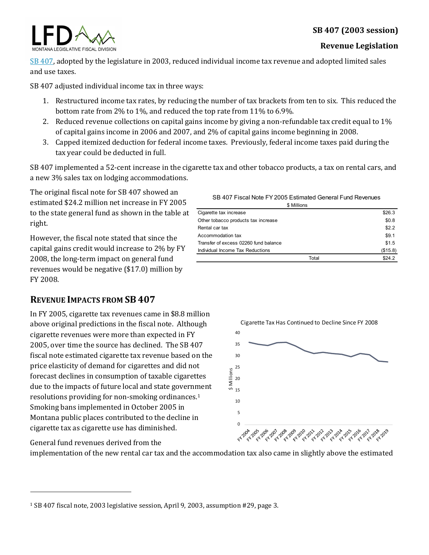# **SB 407 (2003 session)**



#### **Revenue Legislation**

[SB 407,](http://laws.leg.mt.gov/legprd/LAW0203W$BSRV.ActionQuery?P_SESS=20031&P_BLTP_BILL_TYP_CD=SB&P_BILL_NO=407&P_BILL_DFT_NO=&P_CHPT_NO=&Z_ACTION=Find&P_ENTY_ID_SEQ2=&P_SBJT_SBJ_CD=&P_ENTY_ID_SEQ=) adopted by the legislature in 2003, reduced individual income tax revenue and adopted limited sales and use taxes.

SB 407 adjusted individual income tax in three ways:

- 1. Restructured income tax rates, by reducing the number of tax brackets from ten to six. This reduced the bottom rate from 2% to 1%, and reduced the top rate from 11% to 6.9%.
- 2. Reduced revenue collections on capital gains income by giving a non-refundable tax credit equal to 1% of capital gains income in 2006 and 2007, and 2% of capital gains income beginning in 2008.
- 3. Capped itemized deduction for federal income taxes. Previously, federal income taxes paid during the tax year could be deducted in full.

SB 407 implemented a 52-cent increase in the cigarette tax and other tobacco products, a tax on rental cars, and a new 3% sales tax on lodging accommodations.

The original fiscal note for SB 407 showed an estimated \$24.2 million net increase in FY 2005 to the state general fund as shown in the table at right.

However, the fiscal note stated that since the capital gains credit would increase to 2% by FY 2008, the long-term impact on general fund revenues would be negative (\$17.0) million by FY 2008.

## **REVENUE IMPACTS FROM SB 407**

In FY 2005, cigarette tax revenues came in \$8.8 million above original predictions in the fiscal note. Although cigarette revenues were more than expected in FY 2005, over time the source has declined. The SB 407 fiscal note estimated cigarette tax revenue based on the price elasticity of demand for cigarettes and did not forecast declines in consumption of taxable cigarettes due to the impacts of future local and state government resolutions providing for non-smoking ordinances.[1](#page-0-0) Smoking bans implemented in October 2005 in Montana public places contributed to the decline in cigarette tax as cigarette use has diminished.

General fund revenues derived from the

j

implementation of the new rental car tax and the accommodation tax also came in slightly above the estimated

| SB 407 Fiscal Note FY 2005 Estimated General Fund Revenues |  |
|------------------------------------------------------------|--|
| \$ Millions                                                |  |

| Cigarette tax increase                | \$26.3   |
|---------------------------------------|----------|
| Other tobacco products tax increase   | \$0.8    |
| Rental car tax                        | \$2.2    |
| Accommodation tax                     | \$9.1    |
| Transfer of excess 02260 fund balance | \$1.5    |
| Individual Income Tax Reductions      | (\$15.8) |
| Total                                 | \$24.2   |



<span id="page-0-0"></span><sup>1</sup> SB 407 fiscal note, 2003 legislative session, April 9, 2003, assumption #29, page 3.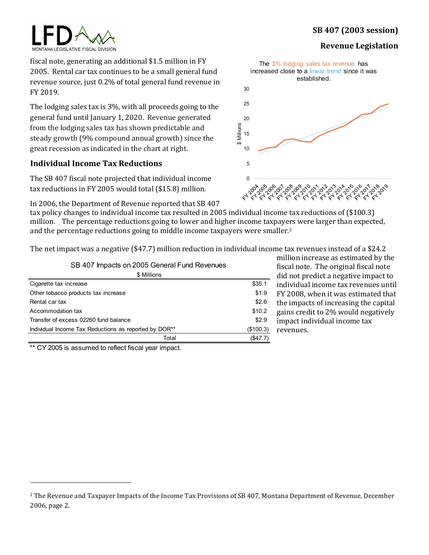# **SB 407 (2003 session)**

#### **Revenue Legislation**

MONTANA LEGISLATIVE FISCAL DIVISION

fiscal note, generating an additional \$1.5 million in FY 2005. Rental car tax continues to be a small general fund revenue source, just 0.2% of total general fund revenue in FY 2019.

The lodging sales tax is 3%, with all proceeds going to the general fund until January 1, 2020. Revenue generated from the lodging sales tax has shown predictable and steady growth (9% compound annual growth) since the great recession as indicated in the chart at right.

## **Individual Income Tax Reductions**

The SB 407 fiscal note projected that individual income tax reductions in FY 2005 would total (\$15.8) million.

In 2006, the Department of Revenue reported that SB 407

tax policy changes to individual income tax resulted in 2005 individual income tax reductions of (\$100.3) million. The percentage reductions going to lower and higher income taxpayers were larger than expected, and the percentage reductions going to middle income taxpayers were smaller.<sup>[2](#page-1-0)</sup>

The net impact was a negative (\$47.7) million reduction in individual income tax revenues instead of a \$24.2

|  |  |  |  |  | SB 407 Impacts on 2005 General Fund Revenues |
|--|--|--|--|--|----------------------------------------------|
|--|--|--|--|--|----------------------------------------------|

| \$ Millions                                           |           |  |  |  |
|-------------------------------------------------------|-----------|--|--|--|
| Cigarette tax increase                                | \$35.1    |  |  |  |
| Other tobacco products tax increase                   | \$1.9     |  |  |  |
| Rental car tax                                        | \$2.6     |  |  |  |
| Accommodation tax                                     | \$10.2    |  |  |  |
| Transfer of excess 02260 fund balance                 | \$2.9     |  |  |  |
| Individual Income Tax Reductions as reported by DOR** | (\$100.3) |  |  |  |
| Total                                                 | (S47.7)   |  |  |  |

million increase as estimated by the fiscal note. The original fiscal note did not predict a negative impact to individual income tax revenues until FY 2008, when it was estimated that the impacts of increasing the capital gains credit to 2% would negatively impact individual income tax revenues.

\*\* CY 2005 is assumed to reflect fiscal year impact.





<span id="page-1-0"></span>j <sup>2</sup> The Revenue and Taxpayer Impacts of the Income Tax Provisions of SB 407, Montana Department of Revenue, December 2006, page 2.